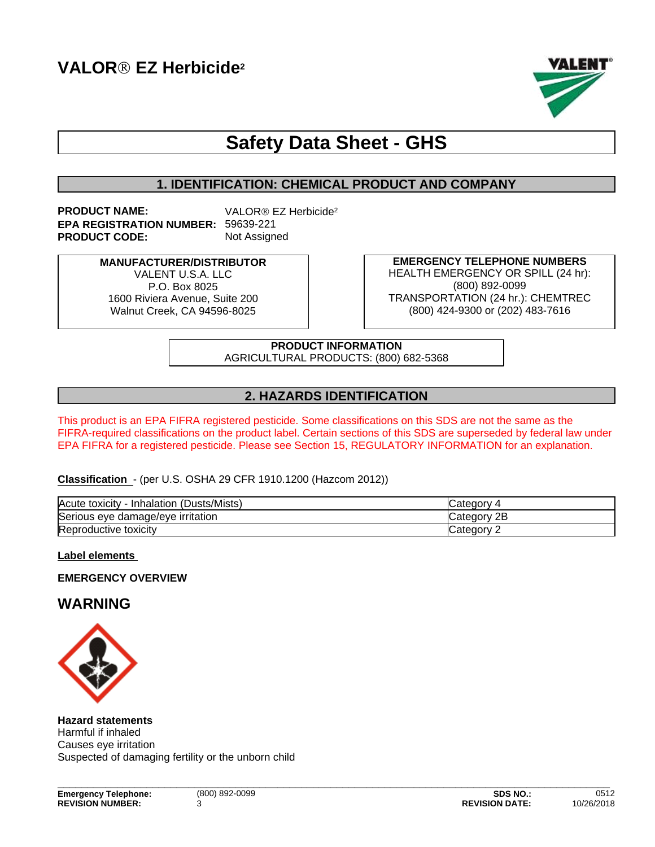

# **Safety Data Sheet - GHS**

# **1. IDENTIFICATION: CHEMICAL PRODUCT AND COMPANY**

**PRODUCT NAME:** VALOR<sup>®</sup> EZ Herbicide<sup>2</sup> **EPA REGISTRATION NUMBER:** 59639-221 **PRODUCT CODE:** Not Assigned

> **MANUFACTURER/DISTRIBUTOR** VALENT U.S.A. LLC P.O. Box 8025 1600 Riviera Avenue, Suite 200 Walnut Creek, CA 94596-8025

**EMERGENCY TELEPHONE NUMBERS** HEALTH EMERGENCY OR SPILL (24 hr): (800) 892-0099 TRANSPORTATION (24 hr.): CHEMTREC (800) 424-9300 or (202) 483-7616

**PRODUCT INFORMATION** AGRICULTURAL PRODUCTS: (800) 682-5368

# **2. HAZARDS IDENTIFICATION**

This product is an EPA FIFRA registered pesticide. Some classifications on this SDS are not the same as the FIFRA-required classifications on the product label. Certain sections of this SDS are superseded by federal law under EPA FIFRA for a registered pesticide. Please see Section 15, REGULATORY INFORMATION for an explanation.

### **Classification** - (per U.S. OSHA 29 CFR 1910.1200 (Hazcom 2012))

| (Dusts/Mists)<br>Acute toxicity<br>Inhalation | " /diegory-         |
|-----------------------------------------------|---------------------|
| Serious eye damage/eye irritation             | חר<br>√ategor∩<br>ᅩ |
| Reproductive toxicity                         | ∵ategor∨<br>-       |

### **Label elements**

**EMERGENCY OVERVIEW**

# **WARNING**



**Hazard statements** Harmful if inhaled Causes eye irritation Suspected of damaging fertility or the unborn child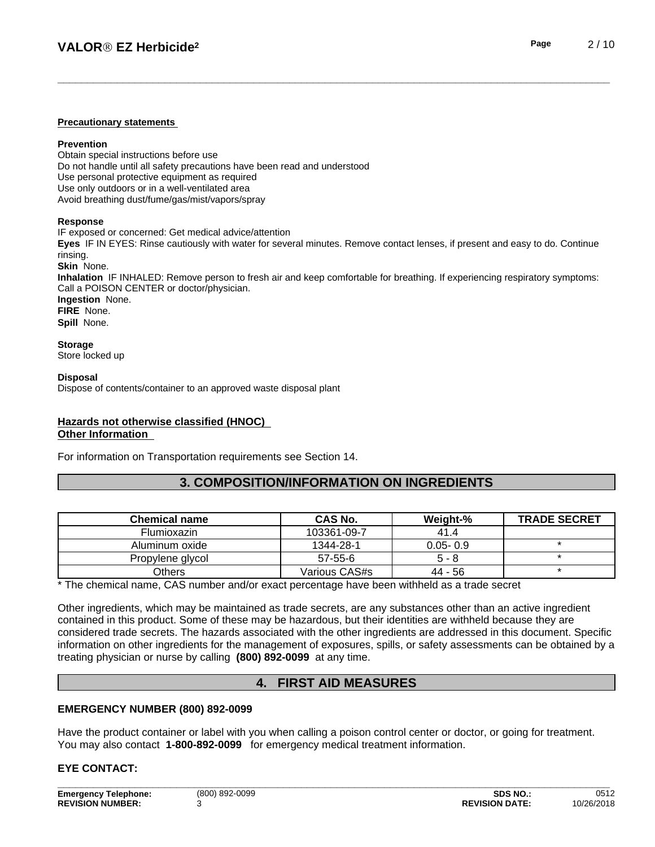#### **Precautionary statements**

#### **Prevention**

Obtain special instructions before use Do not handle until all safety precautions have been read and understood Use personal protective equipment as required Use only outdoors or in a well-ventilated area Avoid breathing dust/fume/gas/mist/vapors/spray

#### **Response**

IF exposed or concerned: Get medical advice/attention

**Eyes** IF IN EYES: Rinse cautiously with water for several minutes. Remove contact lenses, if present and easy to do. Continue rinsing.

**Skin** None.

**Inhalation** IF INHALED: Remove person to fresh air and keep comfortable for breathing. If experiencing respiratory symptoms: Call a POISON CENTER or doctor/physician.

**Ingestion** None. **FIRE** None. **Spill** None.

**Storage**

Store locked up

#### **Disposal**

Dispose of contents/container to an approved waste disposal plant

### **Hazards not otherwise classified (HNOC) Other Information**

For information on Transportation requirements see Section 14.

# **3. COMPOSITION/INFORMATION ON INGREDIENTS**

| <b>Chemical name</b> | CAS No.       | Weight-%     | <b>TRADE SECRET</b> |
|----------------------|---------------|--------------|---------------------|
| Flumioxazin          | 103361-09-7   | 41.4         |                     |
| Aluminum oxide       | 1344-28-1     | $0.05 - 0.9$ |                     |
| Propylene glycol     | 57-55-6       | $5 - 8$      |                     |
| Others               | Various CAS#s | 44 - 56      |                     |

\* The chemical name, CAS number and/or exact percentage have been withheld as a trade secret

Other ingredients, which may be maintained as trade secrets, are any substances other than an active ingredient contained in this product. Some of these may be hazardous, but their identities are withheld because they are considered trade secrets. The hazards associated with the otheringredients are addressed in this document. Specific information on other ingredients for the management of exposures, spills, or safety assessments can be obtained by a treating physician or nurse by calling **(800) 892-0099** at any time.

# **4. FIRST AID MEASURES**

#### **EMERGENCY NUMBER (800) 892-0099**

Have the product container or label with you when calling a poison control center or doctor, or going for treatment. You may also contact **1-800-892-0099** for emergency medical treatment information.

### **EYE CONTACT:**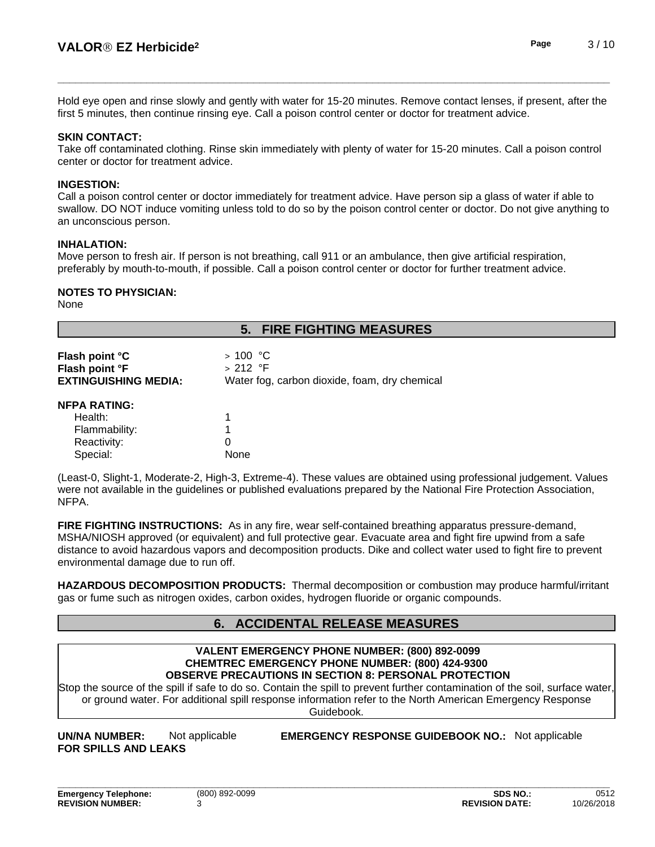Hold eye open and rinse slowly and gently with water for 15-20 minutes. Remove contact lenses, if present, after the first 5 minutes, then continue rinsing eve. Call a poison control center or doctor for treatment advice.

### **SKIN CONTACT:**

Take off contaminated clothing. Rinse skin immediately with plenty of water for 15-20 minutes. Call a poison control center or doctor for treatment advice.

### **INGESTION:**

Call a poison control center or doctor immediately for treatment advice. Have person sip a glass of water if able to swallow. DO NOT induce vomiting unless told to do so by the poison control center or doctor. Do not give anything to an unconscious person.

### **INHALATION:**

Move person to fresh air. If person is not breathing, call 911 or an ambulance, then give artificial respiration, preferably by mouth-to-mouth, if possible. Call a poison control center or doctor for further treatment advice.

### **NOTES TO PHYSICIAN:**

None

# **5. FIRE FIGHTING MEASURES Flash point °C** > 100 °C **Flash point °F** > 212 °F **EXTINGUISHING MEDIA:** Water fog, carbon dioxide, foam, dry chemical **NFPA RATING:** Health: 1 Flammability: 1 Reactivity: 0 Special: None

(Least-0, Slight-1, Moderate-2, High-3, Extreme-4). These values are obtained using professional judgement. Values were not available in the guidelines or published evaluations prepared by the National Fire Protection Association, NFPA.

**FIRE FIGHTING INSTRUCTIONS:** As in any fire, wear self-contained breathing apparatus pressure-demand, MSHA/NIOSH approved (or equivalent) and full protective gear. Evacuate area and fight fire upwind from a safe distance to avoid hazardous vapors and decomposition products. Dike and collect water used to fight fire to prevent environmental damage due to run off.

**HAZARDOUS DECOMPOSITION PRODUCTS:** Thermal decomposition or combustion may produce harmful/irritant gas or fume such as nitrogen oxides, carbon oxides, hydrogen fluoride or organic compounds.

# **6. ACCIDENTAL RELEASE MEASURES**

#### **VALENT EMERGENCY PHONE NUMBER: (800) 892-0099 CHEMTREC EMERGENCY PHONE NUMBER: (800) 424-9300 OBSERVE PRECAUTIONS IN SECTION 8: PERSONAL PROTECTION**

Stop the source of the spill if safe to do so. Contain the spill to prevent further contamination of the soil, surface water, or ground water. For additional spill response information refer to the North American Emergency Response Guidebook.

**FOR SPILLS AND LEAKS**

**UN/NA NUMBER:** Not applicable **EMERGENCY RESPONSE GUIDEBOOK NO.:** Not applicable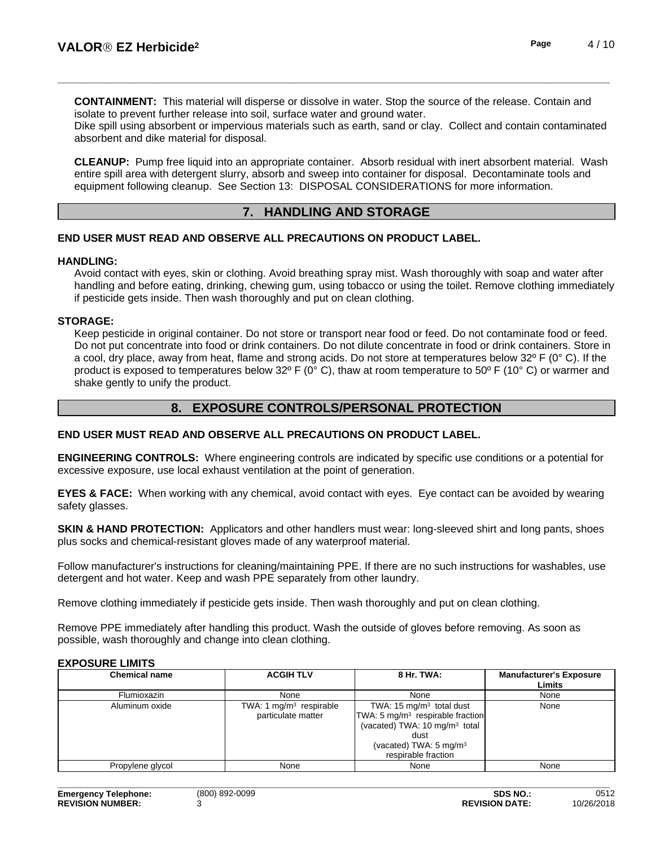**CONTAINMENT:** This material will disperse or dissolve in water. Stop the source of the release. Contain and isolate to prevent further release into soil, surface water and ground water.

Dike spill using absorbent or impervious materials such as earth, sand or clay. Collect and contain contaminated absorbent and dike material for disposal.

**CLEANUP:** Pump free liquid into an appropriate container. Absorb residual with inert absorbent material. Wash entire spill area with detergent slurry, absorb and sweep into container for disposal. Decontaminate tools and equipment following cleanup. See Section 13: DISPOSAL CONSIDERATIONS for more information.

### **7. HANDLING AND STORAGE**

### **END USER MUST READ AND OBSERVE ALL PRECAUTIONS ON PRODUCT LABEL.**

#### **HANDLING:**

Avoid contact with eyes, skin or clothing. Avoid breathing spray mist. Wash thoroughly with soap and water after handling and before eating, drinking, chewing gum, using tobacco or using the toilet. Remove clothing immediately if pesticide gets inside. Then wash thoroughly and put on clean clothing.

#### **STORAGE:**

Keep pesticide in original container. Do not store or transport near food or feed. Do not contaminate food or feed. Do not put concentrate into food or drink containers. Do not dilute concentrate in food or drink containers. Store in a cool, dry place, away from heat, flame and strong acids. Do not store at temperatures below  $32^{\circ}$  F (0° C). If the product is exposed to temperatures below 32º F (0° C), thaw at room temperature to 50º F (10° C) or warmer and shake gently to unify the product.

# **8. EXPOSURE CONTROLS/PERSONAL PROTECTION**

### **END USER MUST READ AND OBSERVE ALL PRECAUTIONS ON PRODUCT LABEL.**

**ENGINEERING CONTROLS:** Where engineering controls are indicated by specific use conditions or a potential for excessive exposure, use local exhaust ventilation at the point of generation.

**EYES & FACE:** When working with any chemical, avoid contact with eyes. Eye contact can be avoided by wearing safety glasses.

**SKIN & HAND PROTECTION:** Applicators and other handlers must wear: long-sleeved shirt and long pants, shoes plus socks and chemical-resistant gloves made of any waterproof material.

Follow manufacturer's instructions for cleaning/maintaining PPE. If there are no such instructions for washables, use detergent and hot water. Keep and wash PPE separately from other laundry.

Remove clothing immediately if pesticide gets inside. Then wash thoroughly and put on clean clothing.

Remove PPE immediately after handling this product. Wash the outside of gloves before removing. As soon as possible, wash thoroughly and change into clean clothing.

#### **EXPOSURE LIMITS**

| <b>Chemical name</b> | <b>ACGIH TLV</b>                                          | 8 Hr. TWA:                                                                                                                                                                        | <b>Manufacturer's Exposure</b><br>Limits |
|----------------------|-----------------------------------------------------------|-----------------------------------------------------------------------------------------------------------------------------------------------------------------------------------|------------------------------------------|
| Flumioxazin          | None                                                      | None                                                                                                                                                                              | None                                     |
| Aluminum oxide       | TWA: 1 mg/m <sup>3</sup> respirable<br>particulate matter | TWA: 15 $mg/m3$ total dust<br>$TWA: 5 mg/m3$ respirable fraction<br>(vacated) TWA: $10 \text{ mg/m}^3$ total<br>dust<br>(vacated) TWA: 5 mg/m <sup>3</sup><br>respirable fraction | None                                     |
| Propylene glycol     | None                                                      | None                                                                                                                                                                              | None                                     |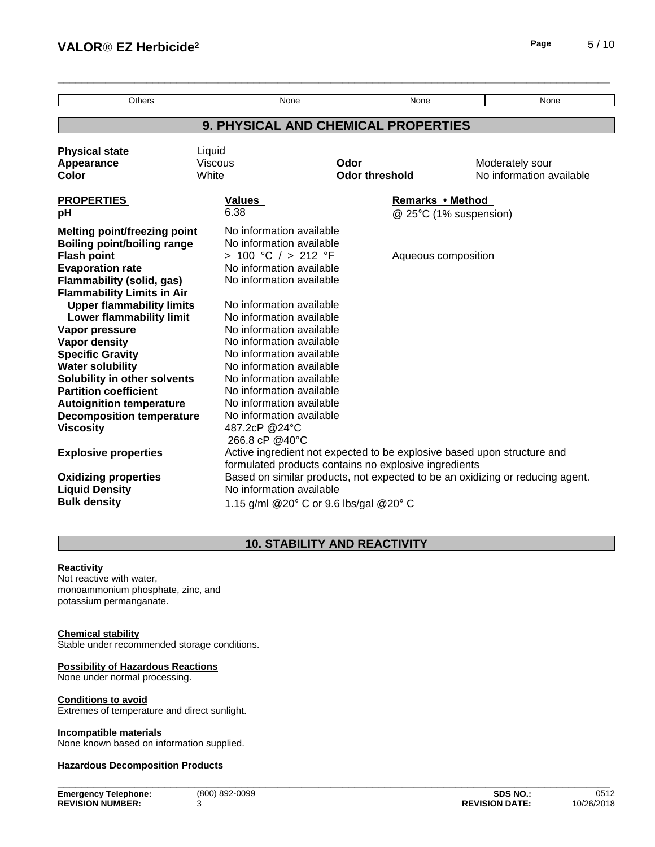| <b>VALOR<sup>®</sup> EZ Herbicide<sup>2</sup></b>    |                                 |                                                                               |                       |                        | Page                     | 5/10 |
|------------------------------------------------------|---------------------------------|-------------------------------------------------------------------------------|-----------------------|------------------------|--------------------------|------|
|                                                      |                                 |                                                                               |                       |                        |                          |      |
| Others                                               |                                 | None                                                                          | None                  |                        | None                     |      |
|                                                      |                                 | 9. PHYSICAL AND CHEMICAL PROPERTIES                                           |                       |                        |                          |      |
|                                                      |                                 |                                                                               |                       |                        |                          |      |
| <b>Physical state</b>                                | Liquid                          |                                                                               |                       |                        |                          |      |
| Appearance                                           | <b>Viscous</b>                  | Odor                                                                          |                       |                        | Moderately sour          |      |
| Color                                                | White                           |                                                                               | <b>Odor threshold</b> |                        | No information available |      |
| <b>PROPERTIES</b>                                    | Values                          |                                                                               |                       | Remarks • Method       |                          |      |
| pH                                                   | 6.38                            |                                                                               |                       | @ 25°C (1% suspension) |                          |      |
| <b>Melting point/freezing point</b>                  | No information available        |                                                                               |                       |                        |                          |      |
| <b>Boiling point/boiling range</b>                   | No information available        |                                                                               |                       |                        |                          |      |
| <b>Flash point</b>                                   | > 100 °C / > 212 °F             |                                                                               |                       | Aqueous composition    |                          |      |
| <b>Evaporation rate</b>                              | No information available        |                                                                               |                       |                        |                          |      |
| <b>Flammability (solid, gas)</b>                     | No information available        |                                                                               |                       |                        |                          |      |
| <b>Flammability Limits in Air</b>                    |                                 |                                                                               |                       |                        |                          |      |
| <b>Upper flammability limits</b>                     | No information available        |                                                                               |                       |                        |                          |      |
| <b>Lower flammability limit</b>                      | No information available        |                                                                               |                       |                        |                          |      |
| Vapor pressure                                       | No information available        |                                                                               |                       |                        |                          |      |
| <b>Vapor density</b>                                 | No information available        |                                                                               |                       |                        |                          |      |
| <b>Specific Gravity</b>                              | No information available        |                                                                               |                       |                        |                          |      |
| <b>Water solubility</b>                              | No information available        |                                                                               |                       |                        |                          |      |
| Solubility in other solvents                         | No information available        |                                                                               |                       |                        |                          |      |
| <b>Partition coefficient</b>                         | No information available        |                                                                               |                       |                        |                          |      |
| <b>Autoignition temperature</b>                      | No information available        |                                                                               |                       |                        |                          |      |
| <b>Decomposition temperature</b>                     | No information available        |                                                                               |                       |                        |                          |      |
| <b>Viscosity</b>                                     | 487.2cP @24°C<br>266.8 cP @40°C |                                                                               |                       |                        |                          |      |
| <b>Explosive properties</b>                          |                                 | Active ingredient not expected to be explosive based upon structure and       |                       |                        |                          |      |
|                                                      |                                 | formulated products contains no explosive ingredients                         |                       |                        |                          |      |
|                                                      |                                 | Based on similar products, not expected to be an oxidizing or reducing agent. |                       |                        |                          |      |
| <b>Oxidizing properties</b><br><b>Liquid Density</b> | No information available        |                                                                               |                       |                        |                          |      |
| <b>Bulk density</b>                                  |                                 |                                                                               |                       |                        |                          |      |
|                                                      |                                 | 1.15 g/ml @20° C or 9.6 lbs/gal @20° C                                        |                       |                        |                          |      |

# **10. STABILITY AND REACTIVITY**

### **Reactivity**

Not reactive with water, monoammonium phosphate, zinc, and potassium permanganate.

#### **Chemical stability**

Stable under recommended storage conditions.

### **Possibility of Hazardous Reactions**

None under normal processing.

#### **Conditions to avoid**

Extremes of temperature and direct sunlight.

#### **Incompatible materials**

None known based on information supplied.

### **Hazardous Decomposition Products**

**Emergency Telephone:** (800) 892-0099 **SDS NO.:** 0512 **REVISION NUMBER:** 3 **REVISION DATE:** 10/26/2018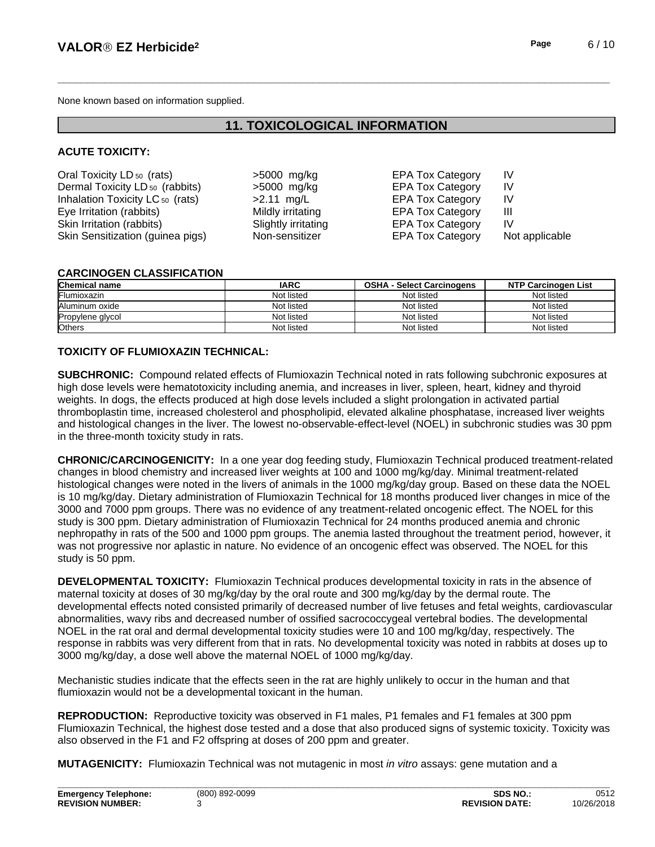None known based on information supplied.

# **11. TOXICOLOGICAL INFORMATION**

### **ACUTE TOXICITY:**

| Oral Toxicity LD <sub>50</sub> (rats)       | $>5000$ mg/kg       | <b>EPA Tox Category</b> | IV             |
|---------------------------------------------|---------------------|-------------------------|----------------|
| Dermal Toxicity LD <sub>50</sub> (rabbits)  | $>5000$ mg/kg       | <b>EPA Tox Category</b> | IV             |
| Inhalation Toxicity LC <sub>50</sub> (rats) | $>2.11$ mg/L        | <b>EPA Tox Category</b> | IV             |
| Eye Irritation (rabbits)                    | Mildly irritating   | <b>EPA Tox Category</b> | Ш              |
| Skin Irritation (rabbits)                   | Slightly irritating | <b>EPA Tox Category</b> | IV             |
| Skin Sensitization (guinea pigs)            | Non-sensitizer      | <b>EPA Tox Category</b> | Not applicable |

### **CARCINOGEN CLASSIFICATION**

| <b>Chemical name</b> | <b>IARC</b> | <b>OSHA - Select Carcinogens</b> | <b>NTP Carcinogen List</b> |
|----------------------|-------------|----------------------------------|----------------------------|
| <b>IFlumioxazin</b>  | Not listed  | Not listed                       | Not listed                 |
| Aluminum oxide       | Not listed  | Not listed                       | Not listed                 |
| Propylene glycol     | Not listed  | Not listed                       | Not listed                 |
| <b>Others</b>        | Not listed  | Not listed                       | Not listed                 |

### **TOXICITY OF FLUMIOXAZIN TECHNICAL:**

**SUBCHRONIC:** Compound related effects of Flumioxazin Technical noted in rats following subchronic exposures at high dose levels were hematotoxicity including anemia, and increases in liver, spleen, heart, kidney and thyroid weights. In dogs, the effects produced at high dose levels included a slight prolongation in activated partial thromboplastin time, increased cholesterol and phospholipid, elevated alkaline phosphatase, increased liver weights and histological changes in the liver. The lowest no-observable-effect-level (NOEL) in subchronic studies was 30 ppm in the three-month toxicity study in rats.

**CHRONIC/CARCINOGENICITY:** In a one year dog feeding study, Flumioxazin Technical produced treatment-related changes in blood chemistry and increased liver weights at 100 and 1000 mg/kg/day. Minimal treatment-related histological changes were noted in the livers of animals in the 1000 mg/kg/day group. Based on these data the NOEL is 10 mg/kg/day. Dietary administration of Flumioxazin Technical for 18 months produced liver changes in mice of the 3000 and 7000 ppm groups. There was no evidence of any treatment-related oncogenic effect. The NOEL for this study is 300 ppm. Dietary administration of Flumioxazin Technical for 24 months produced anemia and chronic nephropathy in rats of the 500 and 1000 ppm groups. The anemia lasted throughout the treatment period, however, it was not progressive nor aplastic in nature. No evidence of an oncogenic effect was observed. The NOEL for this study is 50 ppm.

**DEVELOPMENTAL TOXICITY:**Flumioxazin Technical produces developmental toxicity in rats in the absence of maternal toxicity at doses of 30 mg/kg/day by the oral route and 300 mg/kg/day by the dermal route. The developmental effects noted consisted primarily of decreased number of live fetuses and fetal weights, cardiovascular abnormalities, wavy ribs and decreased number of ossified sacrococcygeal vertebral bodies. The developmental NOEL in the rat oral and dermal developmental toxicity studies were 10 and 100 mg/kg/day, respectively. The response in rabbits was very different from that in rats. No developmental toxicity was noted in rabbits at doses up to 3000 mg/kg/day, a dose well above the maternal NOEL of 1000 mg/kg/day.

Mechanistic studies indicate that the effects seen in the rat are highly unlikely to occur in the human and that flumioxazin would not be a developmental toxicant in the human.

**REPRODUCTION:** Reproductive toxicity was observed in F1 males, P1 females and F1 females at 300 ppm Flumioxazin Technical, the highest dose tested and a dose that also produced signs of systemic toxicity. Toxicity was also observed in the F1 and F2 offspring at doses of 200 ppm and greater.

**MUTAGENICITY:** Flumioxazin Technical was not mutagenic in most *in vitro* assays: gene mutation and a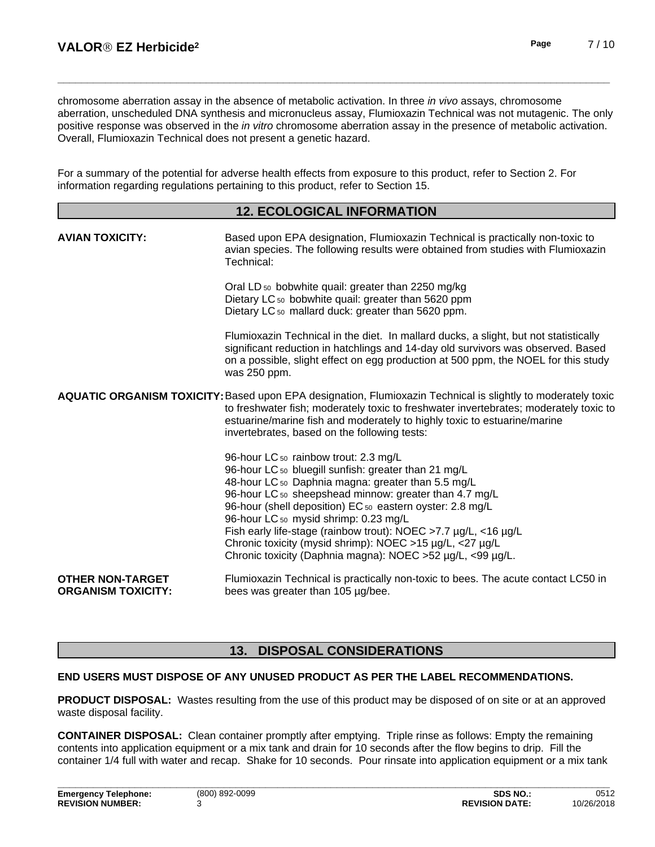chromosome aberration assay in the absence of metabolic activation. In three *in vivo* assays, chromosome aberration, unscheduled DNA synthesis and micronucleus assay, Flumioxazin Technical was not mutagenic. The only positive response was observed in the *in vitro* chromosome aberration assay in the presence of metabolic activation. Overall, Flumioxazin Technical does not present a genetic hazard.

For a summary of the potential for adverse health effects from exposure to this product, refer to Section 2. For information regarding regulations pertaining to this product, refer to Section 15.

### **12. ECOLOGICAL INFORMATION**

| <b>AVIAN TOXICITY:</b>                               | Based upon EPA designation, Flumioxazin Technical is practically non-toxic to<br>avian species. The following results were obtained from studies with Flumioxazin<br>Technical:                                                                                                                                                                                                                                                                                                                                  |
|------------------------------------------------------|------------------------------------------------------------------------------------------------------------------------------------------------------------------------------------------------------------------------------------------------------------------------------------------------------------------------------------------------------------------------------------------------------------------------------------------------------------------------------------------------------------------|
|                                                      | Oral LD <sub>50</sub> bobwhite quail: greater than 2250 mg/kg<br>Dietary LC <sub>50</sub> bobwhite quail: greater than 5620 ppm<br>Dietary LC <sub>50</sub> mallard duck: greater than 5620 ppm.                                                                                                                                                                                                                                                                                                                 |
|                                                      | Flumioxazin Technical in the diet. In mallard ducks, a slight, but not statistically<br>significant reduction in hatchlings and 14-day old survivors was observed. Based<br>on a possible, slight effect on egg production at 500 ppm, the NOEL for this study<br>was 250 ppm.                                                                                                                                                                                                                                   |
|                                                      | AQUATIC ORGANISM TOXICITY: Based upon EPA designation, Flumioxazin Technical is slightly to moderately toxic<br>to freshwater fish; moderately toxic to freshwater invertebrates; moderately toxic to<br>estuarine/marine fish and moderately to highly toxic to estuarine/marine<br>invertebrates, based on the following tests:                                                                                                                                                                                |
|                                                      | 96-hour LC 50 rainbow trout: 2.3 mg/L<br>96-hour LC 50 bluegill sunfish: greater than 21 mg/L<br>48-hour LC 50 Daphnia magna: greater than 5.5 mg/L<br>96-hour LC 50 sheepshead minnow: greater than 4.7 mg/L<br>96-hour (shell deposition) EC 50 eastern oyster: 2.8 mg/L<br>96-hour LC 50 mysid shrimp: 0.23 mg/L<br>Fish early life-stage (rainbow trout): NOEC >7.7 µg/L, <16 µg/L<br>Chronic toxicity (mysid shrimp): NOEC >15 µg/L, <27 µg/L<br>Chronic toxicity (Daphnia magna): NOEC >52 µg/L, <99 µg/L. |
| <b>OTHER NON-TARGET</b><br><b>ORGANISM TOXICITY:</b> | Flumioxazin Technical is practically non-toxic to bees. The acute contact LC50 in<br>bees was greater than 105 µg/bee.                                                                                                                                                                                                                                                                                                                                                                                           |

### **13. DISPOSAL CONSIDERATIONS**

### **END USERS MUST DISPOSE OF ANY UNUSED PRODUCT AS PER THE LABEL RECOMMENDATIONS.**

**PRODUCT DISPOSAL:** Wastes resulting from the use of this product may be disposed of on site or at an approved waste disposal facility.

**CONTAINER DISPOSAL:** Clean container promptly after emptying. Triple rinse as follows: Empty the remaining contents into application equipment or a mix tank and drain for 10 seconds after the flow begins to drip. Fill the container 1/4 full with water and recap. Shake for 10 seconds. Pour rinsate into application equipment or a mix tank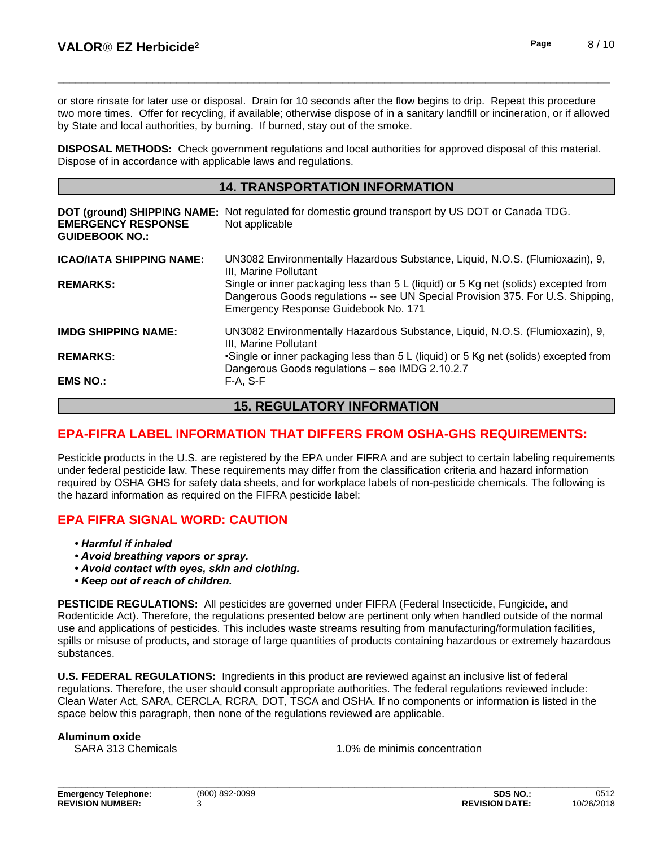or store rinsate for later use or disposal. Drain for 10 seconds after the flow begins to drip. Repeat this procedure two more times. Offer for recycling, if available; otherwise dispose of in a sanitary landfill or incineration, or if allowed by State and local authorities, by burning. If burned, stay out of the smoke.

**DISPOSAL METHODS:** Check government regulations and local authorities for approved disposal of this material. Dispose of in accordance with applicable laws and regulations.

### **14. TRANSPORTATION INFORMATION**

| <b>EMERGENCY RESPONSE</b><br><b>GUIDEBOOK NO.:</b> | DOT (ground) SHIPPING NAME: Not regulated for domestic ground transport by US DOT or Canada TDG.<br>Not applicable                                                                                             |  |
|----------------------------------------------------|----------------------------------------------------------------------------------------------------------------------------------------------------------------------------------------------------------------|--|
| <b>ICAO/IATA SHIPPING NAME:</b>                    | UN3082 Environmentally Hazardous Substance, Liquid, N.O.S. (Flumioxazin), 9,<br>III. Marine Pollutant                                                                                                          |  |
| <b>REMARKS:</b>                                    | Single or inner packaging less than 5 L (liquid) or 5 Kg net (solids) excepted from<br>Dangerous Goods regulations -- see UN Special Provision 375. For U.S. Shipping,<br>Emergency Response Guidebook No. 171 |  |
| <b>IMDG SHIPPING NAME:</b>                         | UN3082 Environmentally Hazardous Substance, Liquid, N.O.S. (Flumioxazin), 9,<br>III. Marine Pollutant                                                                                                          |  |
| <b>REMARKS:</b>                                    | •Single or inner packaging less than 5 L (liquid) or 5 Kg net (solids) excepted from<br>Dangerous Goods regulations - see IMDG 2.10.2.7                                                                        |  |
| <b>EMS NO.:</b>                                    | $F-A. S-F$                                                                                                                                                                                                     |  |

# **15. REGULATORY INFORMATION**

# **EPA-FIFRA LABEL INFORMATION THAT DIFFERS FROM OSHA-GHS REQUIREMENTS:**

Pesticide products in the U.S. are registered by the EPA under FIFRA and are subject to certain labeling requirements under federal pesticide law. These requirements may differ from the classification criteria and hazard information required by OSHA GHS for safety data sheets, and for workplace labels of non-pesticide chemicals. The following is the hazard information as required on the FIFRA pesticide label:

# **EPA FIFRA SIGNAL WORD: CAUTION**

- *•Harmfulifinhaled*
- **Avoid breathing vapors or spray.**
- *•Avoidcontactwitheyes,skinandclothing.*
- *•Keepoutofreachofchildren.*

**PESTICIDE REGULATIONS:** All pesticides are governed under FIFRA (Federal Insecticide, Fungicide, and Rodenticide Act). Therefore, the regulations presented below are pertinent only when handled outside of the normal use and applications of pesticides. This includes waste streams resulting from manufacturing/formulation facilities, spills or misuse of products, and storage of large quantities of products containing hazardous or extremely hazardous substances.

**U.S. FEDERAL REGULATIONS:** Ingredients in this product are reviewed against an inclusive list of federal regulations. Therefore, the user should consult appropriate authorities. The federal regulations reviewed include: Clean Water Act, SARA, CERCLA, RCRA, DOT, TSCA and OSHA. If no components or information islisted in the space below this paragraph, then none of the regulations reviewed are applicable.

#### **Aluminum oxide**

SARA 313 Chemicals 1.0% de minimis concentration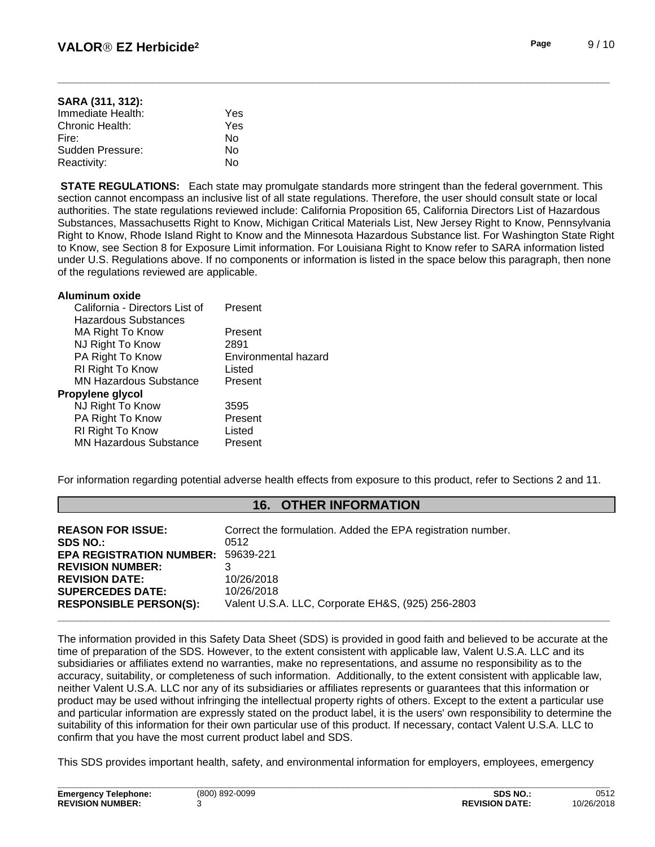| SARA (311, 312):  |     |  |
|-------------------|-----|--|
| Immediate Health: | Yes |  |
| Chronic Health:   | Yes |  |
| Fire:             | N٥  |  |
| Sudden Pressure:  | N٥  |  |
| Reactivity:       | N٥  |  |

**STATE REGULATIONS:** Each state may promulgate standards more stringent than the federal government. This section cannot encompass an inclusive list of all state regulations. Therefore, the user should consult state or local authorities. The state regulations reviewed include: California Proposition 65, California Directors List of Hazardous Substances, Massachusetts Right to Know, Michigan Critical Materials List, New Jersey Right to Know, Pennsylvania Right to Know, Rhode Island Right to Know and the Minnesota Hazardous Substance list. For Washington State Right to Know, see Section 8 for Exposure Limit information. For Louisiana Right to Know refer to SARA information listed under U.S. Regulations above. If no components or information is listed in the space below this paragraph, then none of the regulations reviewed are applicable.

| Aluminum oxide                 |                      |
|--------------------------------|----------------------|
| California - Directors List of | Present              |
| Hazardous Substances           |                      |
| MA Right To Know               | Present              |
| NJ Right To Know               | 2891                 |
| PA Right To Know               | Environmental hazard |
| RI Right To Know               | Listed               |
| <b>MN Hazardous Substance</b>  | Present              |
| Propylene glycol               |                      |
| NJ Right To Know               | 3595                 |
| PA Right To Know               | Present              |
| RI Right To Know               | Listed               |
| <b>MN Hazardous Substance</b>  | Present              |
|                                |                      |

For information regarding potential adverse health effects from exposure to this product, refer to Sections 2 and 11.

# **16. OTHER INFORMATION**

| <b>REASON FOR ISSUE:</b>        | Correct the formulation. Added the EPA registration number. |
|---------------------------------|-------------------------------------------------------------|
| <b>SDS NO.:</b>                 | 0512                                                        |
| <b>EPA REGISTRATION NUMBER:</b> | 59639-221                                                   |
| <b>REVISION NUMBER:</b>         |                                                             |
| <b>REVISION DATE:</b>           | 10/26/2018                                                  |
| <b>SUPERCEDES DATE:</b>         | 10/26/2018                                                  |
| <b>RESPONSIBLE PERSON(S):</b>   | Valent U.S.A. LLC, Corporate EH&S, (925) 256-2803           |
|                                 |                                                             |

The information provided in this Safety Data Sheet (SDS) is provided in good faith and believed to be accurate at the time of preparation of the SDS. However, to the extent consistent with applicable law, Valent U.S.A. LLC and its subsidiaries or affiliates extend no warranties, make no representations, and assume no responsibility as to the accuracy, suitability, or completeness of such information. Additionally, to the extent consistent with applicable law, neither Valent U.S.A. LLC nor any of its subsidiaries or affiliates represents or guarantees that this information or product may be used without infringing the intellectual property rights of others. Except to the extent a particular use and particular information are expressly stated on the product label, it is the users' own responsibility to determine the suitability of this information for their own particular use of this product. If necessary, contact Valent U.S.A. LLC to confirm that you have the most current product label and SDS.

This SDS provides important health, safety, and environmental information for employers, employees, emergency